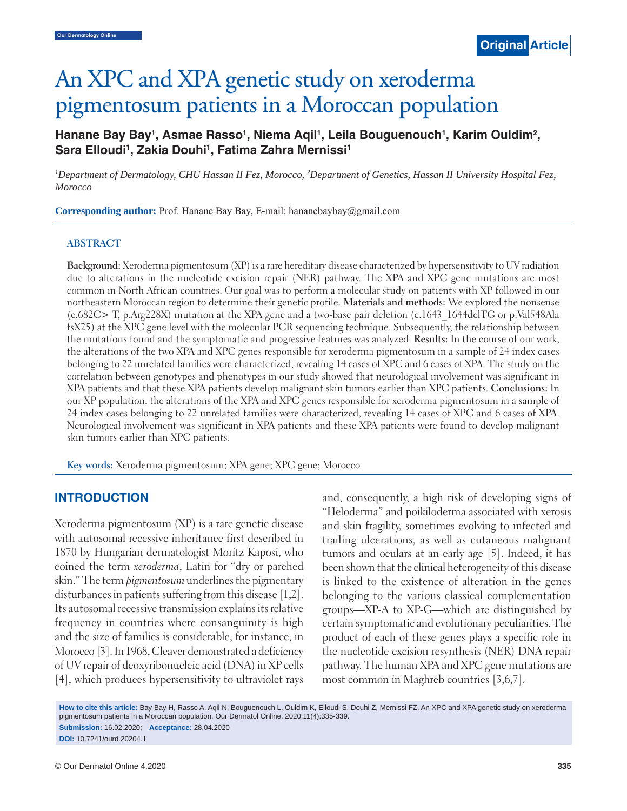# An XPC and XPA genetic study on xeroderma pigmentosum patients in a Moroccan population

## Hanane Bay Bay<sup>1</sup>, Asmae Rasso<sup>1</sup>, Niema Aqil<sup>1</sup>, Leila Bouguenouch<sup>1</sup>, Karim Ouldim<sup>2</sup>, Sara Elloudi<sup>1</sup>, Zakia Douhi<sup>1</sup>, Fatima Zahra Mernissi<sup>1</sup>

<sup>1</sup>Department of Dermatology, CHU Hassan II Fez, Morocco, <sup>2</sup>Department of Genetics, Hassan II University Hospital Fez, *Morocco*

**Corresponding author:** Prof. Hanane Bay Bay, E-mail: hananebaybay@gmail.com

#### **ABSTRACT**

**Background:** Xeroderma pigmentosum (XP) is a rare hereditary disease characterized by hypersensitivity to UV radiation due to alterations in the nucleotide excision repair (NER) pathway. The XPA and XPC gene mutations are most common in North African countries. Our goal was to perform a molecular study on patients with XP followed in our northeastern Moroccan region to determine their genetic profile. **Materials and methods:** We explored the nonsense (c.682C> T, p.Arg228X) mutation at the XPA gene and a two-base pair deletion (c.1643\_1644delTG or p.Val548Ala fsX25) at the XPC gene level with the molecular PCR sequencing technique. Subsequently, the relationship between the mutations found and the symptomatic and progressive features was analyzed. **Results:** In the course of our work, the alterations of the two XPA and XPC genes responsible for xeroderma pigmentosum in a sample of 24 index cases belonging to 22 unrelated families were characterized, revealing 14 cases of XPC and 6 cases of XPA. The study on the correlation between genotypes and phenotypes in our study showed that neurological involvement was significant in XPA patients and that these XPA patients develop malignant skin tumors earlier than XPC patients. **Conclusions:** In our XP population, the alterations of the XPA and XPC genes responsible for xeroderma pigmentosum in a sample of 24 index cases belonging to 22 unrelated families were characterized, revealing 14 cases of XPC and 6 cases of XPA. Neurological involvement was significant in XPA patients and these XPA patients were found to develop malignant skin tumors earlier than XPC patients.

**Key words:** Xeroderma pigmentosum; XPA gene; XPC gene; Morocco

#### **INTRODUCTION**

Xeroderma pigmentosum (XP) is a rare genetic disease with autosomal recessive inheritance first described in 1870 by Hungarian dermatologist Moritz Kaposi, who coined the term *xeroderma*, Latin for "dry or parched skin." The term *pigmentosum* underlines the pigmentary disturbances in patients suffering from this disease [1,2]. Its autosomal recessive transmission explains its relative frequency in countries where consanguinity is high and the size of families is considerable, for instance, in Morocco [3]. In 1968, Cleaver demonstrated a deficiency of UV repair of deoxyribonucleic acid (DNA) in XP cells [4], which produces hypersensitivity to ultraviolet rays and, consequently, a high risk of developing signs of "Heloderma" and poikiloderma associated with xerosis and skin fragility, sometimes evolving to infected and trailing ulcerations, as well as cutaneous malignant tumors and oculars at an early age [5]. Indeed, it has been shown that the clinical heterogeneity of this disease is linked to the existence of alteration in the genes belonging to the various classical complementation groups—XP-A to XP-G—which are distinguished by certain symptomatic and evolutionary peculiarities. The product of each of these genes plays a specific role in the nucleotide excision resynthesis (NER) DNA repair pathway. The human XPA and XPC gene mutations are most common in Maghreb countries [3,6,7].

**How to cite this article:** Bay Bay H, Rasso A, Aqil N, Bouguenouch L, Ouldim K, Elloudi S, Douhi Z, Mernissi FZ. An XPC and XPA genetic study on xeroderma pigmentosum patients in a Moroccan population. Our Dermatol Online. 2020;11(4):335-339.

**Submission:** 16.02.2020; **Acceptance:** 28.04.2020 **DOI:** 10.7241/ourd.20204.1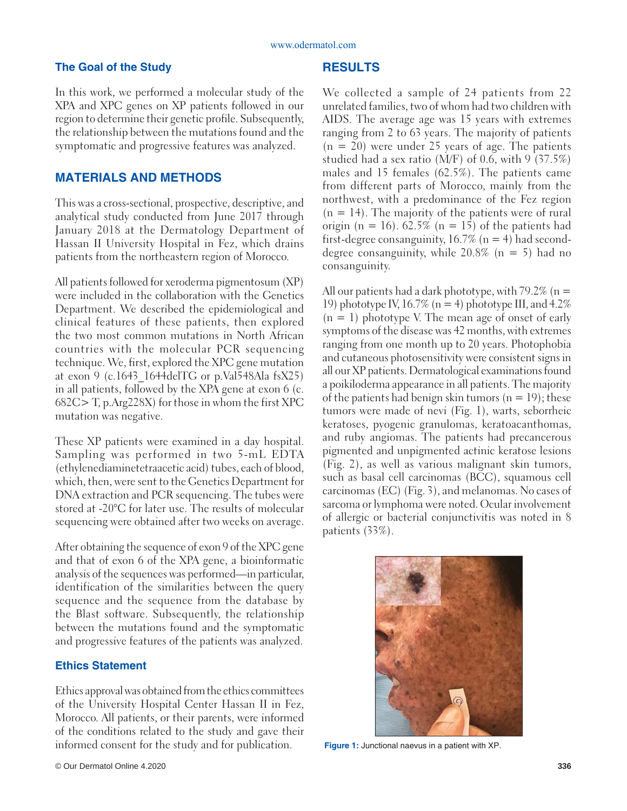#### **The Goal of the Study**

In this work, we performed a molecular study of the XPA and XPC genes on XP patients followed in our region to determine their genetic profile. Subsequently, the relationship between the mutations found and the symptomatic and progressive features was analyzed.

#### **MATERIALS AND METHODS**

This was a cross-sectional, prospective, descriptive, and analytical study conducted from June 2017 through January 2018 at the Dermatology Department of Hassan II University Hospital in Fez, which drains patients from the northeastern region of Morocco.

All patients followed for xeroderma pigmentosum (XP) were included in the collaboration with the Genetics Department. We described the epidemiological and clinical features of these patients, then explored the two most common mutations in North African countries with the molecular PCR sequencing technique. We, first, explored the XPC gene mutation at exon 9 (c.1643 1644delTG or p.Val548Ala fsX25) in all patients, followed by the XPA gene at exon 6 (c. 682C> T, p.Arg228X) for those in whom the first XPC mutation was negative.

These XP patients were examined in a day hospital. Sampling was performed in two 5-mL EDTA (ethylenediaminetetraacetic acid) tubes, each of blood, which, then, were sent to the Genetics Department for DNA extraction and PCR sequencing. The tubes were stored at -20°C for later use. The results of molecular sequencing were obtained after two weeks on average.

After obtaining the sequence of exon 9 of the XPC gene and that of exon 6 of the XPA gene, a bioinformatic analysis of the sequences was performed—in particular, identification of the similarities between the query sequence and the sequence from the database by the Blast software. Subsequently, the relationship between the mutations found and the symptomatic and progressive features of the patients was analyzed.

#### **Ethics Statement**

Ethics approval was obtained from the ethics committees of the University Hospital Center Hassan II in Fez, Morocco. All patients, or their parents, were informed of the conditions related to the study and gave their informed consent for the study and for publication.

We collected a sample of 24 patients from 22 unrelated families, two of whom had two children with AIDS. The average age was 15 years with extremes ranging from 2 to 63 years. The majority of patients  $(n = 20)$  were under 25 years of age. The patients studied had a sex ratio (M/F) of 0.6, with 9 (37.5%) males and 15 females (62.5%). The patients came from different parts of Morocco, mainly from the northwest, with a predominance of the Fez region  $(n = 14)$ . The majority of the patients were of rural origin (n = 16). 62.5% (n = 15) of the patients had first-degree consanguinity,  $16.7\%$  (n = 4) had seconddegree consanguinity, while  $20.8\%$  (n = 5) had no consanguinity.

All our patients had a dark phototype, with 79.2% ( $n =$ 19) phototype IV,  $16.7\%$  (n = 4) phototype III, and  $4.2\%$  $(n = 1)$  phototype V. The mean age of onset of early symptoms of the disease was 42 months, with extremes ranging from one month up to 20 years. Photophobia and cutaneous photosensitivity were consistent signs in all our XP patients. Dermatological examinations found a poikiloderma appearance in all patients. The majority of the patients had benign skin tumors  $(n = 19)$ ; these tumors were made of nevi (Fig. 1), warts, seborrheic keratoses, pyogenic granulomas, keratoacanthomas, and ruby angiomas. The patients had precancerous pigmented and unpigmented actinic keratose lesions (Fig. 2), as well as various malignant skin tumors, such as basal cell carcinomas (BCC), squamous cell carcinomas (EC) (Fig. 3), and melanomas. No cases of sarcoma or lymphoma were noted. Ocular involvement of allergic or bacterial conjunctivitis was noted in 8 patients (33%).



**Figure 1:** Junctional naevus in a patient with XP.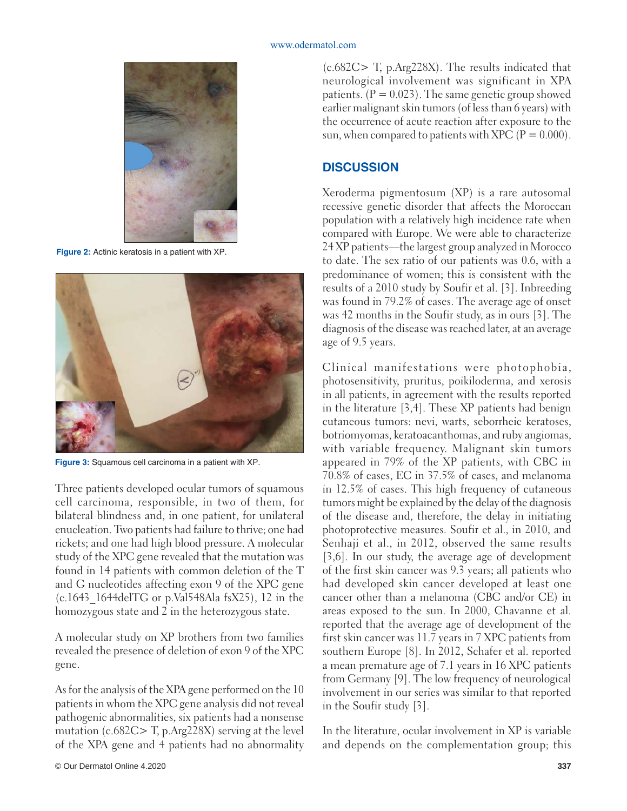

**Figure 2:** Actinic keratosis in a patient with XP.



**Figure 3:** Squamous cell carcinoma in a patient with XP.

Three patients developed ocular tumors of squamous cell carcinoma, responsible, in two of them, for bilateral blindness and, in one patient, for unilateral enucleation. Two patients had failure to thrive; one had rickets; and one had high blood pressure. A molecular study of the XPC gene revealed that the mutation was found in 14 patients with common deletion of the T and G nucleotides affecting exon 9 of the XPC gene  $(c.1643$  1644delTG or p.Val548Ala fsX25), 12 in the homozygous state and 2 in the heterozygous state.

A molecular study on XP brothers from two families revealed the presence of deletion of exon 9 of the XPC gene.

As for the analysis of the XPA gene performed on the 10 patients in whom the XPC gene analysis did not reveal pathogenic abnormalities, six patients had a nonsense mutation (c.682C> T, p.Arg228X) serving at the level of the XPA gene and 4 patients had no abnormality

(c.682C> T, p.Arg228X). The results indicated that neurological involvement was significant in XPA patients.  $(P = 0.023)$ . The same genetic group showed earlier malignant skin tumors (of less than 6 years) with the occurrence of acute reaction after exposure to the sun, when compared to patients with XPC  $(P = 0.000)$ .

### **DISCUSSION**

Xeroderma pigmentosum (XP) is a rare autosomal recessive genetic disorder that affects the Moroccan population with a relatively high incidence rate when compared with Europe. We were able to characterize 24 XP patients—the largest group analyzed in Morocco to date. The sex ratio of our patients was 0.6, with a predominance of women; this is consistent with the results of a 2010 study by Soufir et al. [3]. Inbreeding was found in 79.2% of cases. The average age of onset was 42 months in the Soufir study, as in ours [3]. The diagnosis of the disease was reached later, at an average age of 9.5 years.

Clinical manifestations were photophobia, photosensitivity, pruritus, poikiloderma, and xerosis in all patients, in agreement with the results reported in the literature [3,4]. These XP patients had benign cutaneous tumors: nevi, warts, seborrheic keratoses, botriomyomas, keratoacanthomas, and ruby angiomas, with variable frequency. Malignant skin tumors appeared in 79% of the XP patients, with CBC in 70.8% of cases, EC in 37.5% of cases, and melanoma in 12.5% of cases. This high frequency of cutaneous tumors might be explained by the delay of the diagnosis of the disease and, therefore, the delay in initiating photoprotective measures. Soufir et al., in 2010, and Senhaji et al., in 2012, observed the same results [3,6]. In our study, the average age of development of the first skin cancer was 9.3 years; all patients who had developed skin cancer developed at least one cancer other than a melanoma (CBC and/or CE) in areas exposed to the sun. In 2000, Chavanne et al. reported that the average age of development of the first skin cancer was 11.7 years in 7 XPC patients from southern Europe [8]. In 2012, Schafer et al. reported a mean premature age of 7.1 years in 16 XPC patients from Germany [9]. The low frequency of neurological involvement in our series was similar to that reported in the Soufir study [3].

In the literature, ocular involvement in XP is variable and depends on the complementation group; this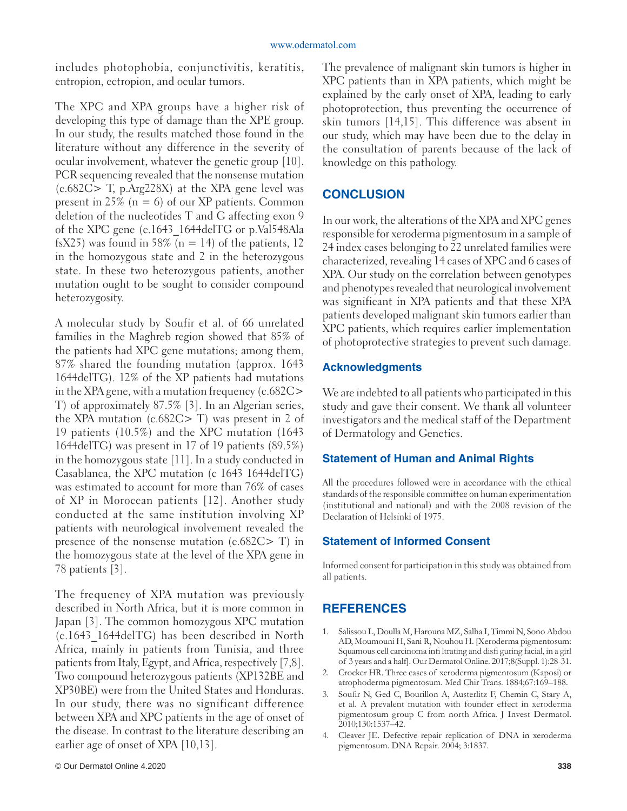includes photophobia, conjunctivitis, keratitis, entropion, ectropion, and ocular tumors.

The XPC and XPA groups have a higher risk of developing this type of damage than the XPE group. In our study, the results matched those found in the literature without any difference in the severity of ocular involvement, whatever the genetic group [10]. PCR sequencing revealed that the nonsense mutation (c.682C> T, p.Arg228X) at the XPA gene level was present in 25% ( $n = 6$ ) of our XP patients. Common deletion of the nucleotides T and G affecting exon 9 of the XPC gene (c.1643\_1644delTG or p.Val548Ala fsX25) was found in 58% ( $n = 14$ ) of the patients, 12 in the homozygous state and 2 in the heterozygous state. In these two heterozygous patients, another mutation ought to be sought to consider compound heterozygosity.

A molecular study by Soufir et al. of 66 unrelated families in the Maghreb region showed that 85% of the patients had XPC gene mutations; among them, 87% shared the founding mutation (approx. 1643 1644delTG). 12% of the XP patients had mutations in the XPA gene, with a mutation frequency (c.682C> T) of approximately 87.5% [3]. In an Algerian series, the XPA mutation (c.682C> T) was present in 2 of 19 patients (10.5%) and the XPC mutation (1643 1644delTG) was present in 17 of 19 patients (89.5%) in the homozygous state [11]. In a study conducted in Casablanca, the XPC mutation (c 1643 1644delTG) was estimated to account for more than 76% of cases of XP in Moroccan patients [12]. Another study conducted at the same institution involving XP patients with neurological involvement revealed the presence of the nonsense mutation (c.682C> T) in the homozygous state at the level of the XPA gene in 78 patients [3].

The frequency of XPA mutation was previously described in North Africa, but it is more common in Japan [3]. The common homozygous XPC mutation (c.1643\_1644delTG) has been described in North Africa, mainly in patients from Tunisia, and three patients from Italy, Egypt, and Africa, respectively [7,8]. Two compound heterozygous patients (XP132BE and XP30BE) were from the United States and Honduras. In our study, there was no significant difference between XPA and XPC patients in the age of onset of the disease. In contrast to the literature describing an earlier age of onset of XPA [10,13].

The prevalence of malignant skin tumors is higher in XPC patients than in XPA patients, which might be explained by the early onset of XPA, leading to early photoprotection, thus preventing the occurrence of skin tumors [14,15]. This difference was absent in our study, which may have been due to the delay in the consultation of parents because of the lack of knowledge on this pathology.

# **CONCLUSION**

In our work, the alterations of the XPA and XPC genes responsible for xeroderma pigmentosum in a sample of 24 index cases belonging to 22 unrelated families were characterized, revealing 14 cases of XPC and 6 cases of XPA. Our study on the correlation between genotypes and phenotypes revealed that neurological involvement was significant in XPA patients and that these XPA patients developed malignant skin tumors earlier than XPC patients, which requires earlier implementation of photoprotective strategies to prevent such damage.

#### **Acknowledgments**

We are indebted to all patients who participated in this study and gave their consent. We thank all volunteer investigators and the medical staff of the Department of Dermatology and Genetics.

#### **Statement of Human and Animal Rights**

All the procedures followed were in accordance with the ethical standards of the responsible committee on human experimentation (institutional and national) and with the 2008 revision of the Declaration of Helsinki of 1975.

#### **Statement of Informed Consent**

Informed consent for participation in this study was obtained from all patients.

# **REFERENCES**

- 1. Salissou L, Doulla M, Harouna MZ, Salha I, Timmi N, Sono Abdou AD, Moumouni H, Sani R, Nouhou H. [Xeroderma pigmentosum: Squamous cell carcinoma infi ltrating and disfi guring facial, in a girl of 3 years and a half]. Our Dermatol Online. 2017;8(Suppl. 1):28-31.
- 2. Crocker HR. Three cases of xeroderma pigmentosum (Kaposi) or atrophoderma pigmentosum. Med Chir Trans. 1884;67:169–188.
- 3. Soufir N, Ged C, Bourillon A, Austerlitz F, Chemin C, Stary A, et al. A prevalent mutation with founder effect in xeroderma pigmentosum group C from north Africa. J Invest Dermatol. 2010;130:1537–42.
- 4. Cleaver JE. Defective repair replication of DNA in xeroderma pigmentosum. DNA Repair. 2004; 3:1837.